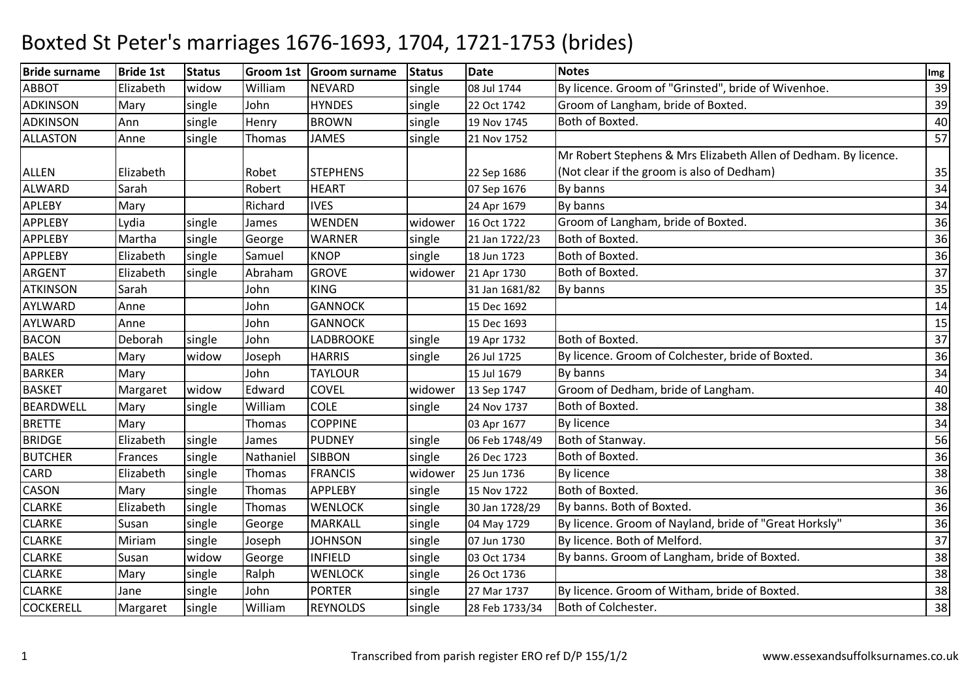| <b>Bride surname</b> | <b>Bride 1st</b> | <b>Status</b> |           | Groom 1st Groom surname | <b>Status</b> | <b>Date</b>    | <b>Notes</b>                                                    | Img |
|----------------------|------------------|---------------|-----------|-------------------------|---------------|----------------|-----------------------------------------------------------------|-----|
| <b>ABBOT</b>         | Elizabeth        | widow         | William   | <b>NEVARD</b>           | single        | 08 Jul 1744    | By licence. Groom of "Grinsted", bride of Wivenhoe.             | 39  |
| <b>ADKINSON</b>      | Mary             | single        | John      | <b>HYNDES</b>           | single        | 22 Oct 1742    | Groom of Langham, bride of Boxted.                              | 39  |
| <b>ADKINSON</b>      | Ann              | single        | Henry     | <b>BROWN</b>            | single        | 19 Nov 1745    | Both of Boxted.                                                 | 40  |
| <b>ALLASTON</b>      | Anne             | single        | Thomas    | <b>JAMES</b>            | single        | 21 Nov 1752    |                                                                 | 57  |
|                      |                  |               |           |                         |               |                | Mr Robert Stephens & Mrs Elizabeth Allen of Dedham. By licence. |     |
| <b>ALLEN</b>         | Elizabeth        |               | Robet     | <b>STEPHENS</b>         |               | 22 Sep 1686    | (Not clear if the groom is also of Dedham)                      | 35  |
| ALWARD               | Sarah            |               | Robert    | <b>HEART</b>            |               | 07 Sep 1676    | By banns                                                        | 34  |
| APLEBY               | Mary             |               | Richard   | <b>IVES</b>             |               | 24 Apr 1679    | By banns                                                        | 34  |
| <b>APPLEBY</b>       | Lydia            | single        | James     | <b>WENDEN</b>           | widower       | 16 Oct 1722    | Groom of Langham, bride of Boxted.                              | 36  |
| <b>APPLEBY</b>       | Martha           | single        | George    | <b>WARNER</b>           | single        | 21 Jan 1722/23 | Both of Boxted.                                                 | 36  |
| <b>APPLEBY</b>       | Elizabeth        | single        | Samuel    | <b>KNOP</b>             | single        | 18 Jun 1723    | Both of Boxted.                                                 | 36  |
| <b>ARGENT</b>        | Elizabeth        | single        | Abraham   | <b>GROVE</b>            | widower       | 21 Apr 1730    | Both of Boxted.                                                 | 37  |
| <b>ATKINSON</b>      | Sarah            |               | John      | <b>KING</b>             |               | 31 Jan 1681/82 | By banns                                                        | 35  |
| AYLWARD              | Anne             |               | John      | <b>GANNOCK</b>          |               | 15 Dec 1692    |                                                                 | 14  |
| AYLWARD              | Anne             |               | John      | <b>GANNOCK</b>          |               | 15 Dec 1693    |                                                                 | 15  |
| <b>BACON</b>         | Deborah          | single        | John      | <b>LADBROOKE</b>        | single        | 19 Apr 1732    | Both of Boxted.                                                 | 37  |
| <b>BALES</b>         | Mary             | widow         | Joseph    | <b>HARRIS</b>           | single        | 26 Jul 1725    | By licence. Groom of Colchester, bride of Boxted.               | 36  |
| <b>BARKER</b>        | Mary             |               | John      | <b>TAYLOUR</b>          |               | 15 Jul 1679    | By banns                                                        | 34  |
| <b>BASKET</b>        | Margaret         | widow         | Edward    | <b>COVEL</b>            | widower       | 13 Sep 1747    | Groom of Dedham, bride of Langham.                              | 40  |
| <b>BEARDWELL</b>     | Mary             | single        | William   | <b>COLE</b>             | single        | 24 Nov 1737    | Both of Boxted.                                                 | 38  |
| <b>BRETTE</b>        | Mary             |               | Thomas    | <b>COPPINE</b>          |               | 03 Apr 1677    | <b>By licence</b>                                               | 34  |
| <b>BRIDGE</b>        | Elizabeth        | single        | James     | <b>PUDNEY</b>           | single        | 06 Feb 1748/49 | Both of Stanway.                                                | 56  |
| <b>BUTCHER</b>       | Frances          | single        | Nathaniel | <b>SIBBON</b>           | single        | 26 Dec 1723    | Both of Boxted.                                                 | 36  |
| CARD                 | Elizabeth        | single        | Thomas    | <b>FRANCIS</b>          | widower       | 25 Jun 1736    | <b>By licence</b>                                               | 38  |
| <b>CASON</b>         | Mary             | single        | Thomas    | <b>APPLEBY</b>          | single        | 15 Nov 1722    | Both of Boxted.                                                 | 36  |
| <b>CLARKE</b>        | Elizabeth        | single        | Thomas    | <b>WENLOCK</b>          | single        | 30 Jan 1728/29 | By banns. Both of Boxted.                                       | 36  |
| <b>CLARKE</b>        | Susan            | single        | George    | <b>MARKALL</b>          | single        | 04 May 1729    | By licence. Groom of Nayland, bride of "Great Horksly"          | 36  |
| <b>CLARKE</b>        | Miriam           | single        | Joseph    | <b>JOHNSON</b>          | single        | 07 Jun 1730    | By licence. Both of Melford.                                    | 37  |
| <b>CLARKE</b>        | Susan            | widow         | George    | <b>INFIELD</b>          | single        | 03 Oct 1734    | By banns. Groom of Langham, bride of Boxted.                    | 38  |
| <b>CLARKE</b>        | Mary             | single        | Ralph     | <b>WENLOCK</b>          | single        | 26 Oct 1736    |                                                                 | 38  |
| <b>CLARKE</b>        | Jane             | single        | John      | <b>PORTER</b>           | single        | 27 Mar 1737    | By licence. Groom of Witham, bride of Boxted.                   | 38  |
| <b>COCKERELL</b>     | Margaret         | single        | William   | <b>REYNOLDS</b>         | single        | 28 Feb 1733/34 | Both of Colchester.                                             | 38  |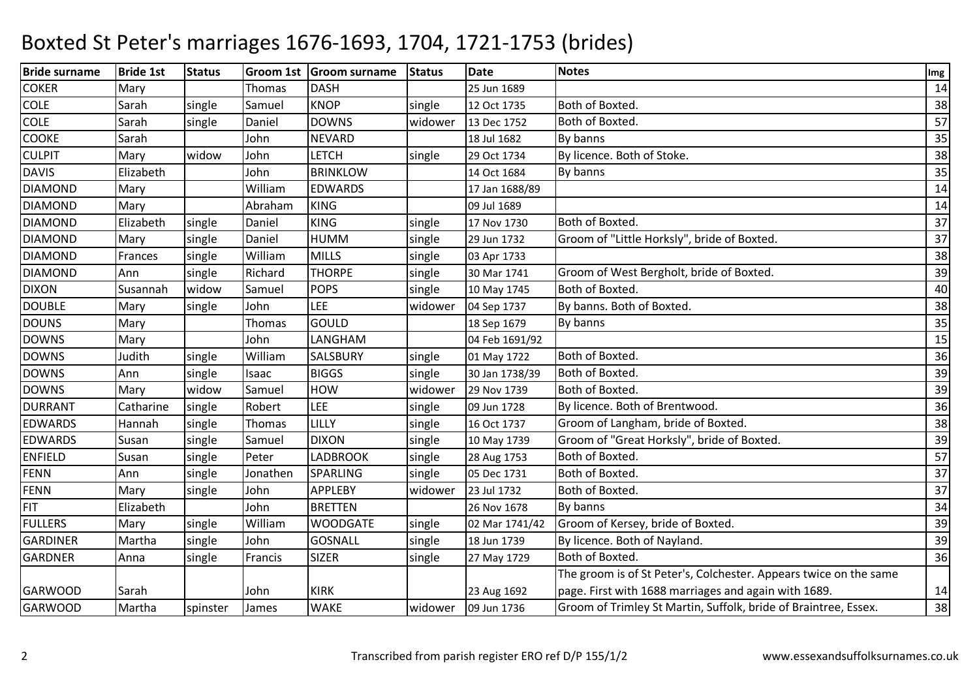| <b>Bride surname</b> | <b>Bride 1st</b> | <b>Status</b> |          | Groom 1st Groom surname | <b>Status</b> | <b>Date</b>    | <b>Notes</b>                                                      | Img |
|----------------------|------------------|---------------|----------|-------------------------|---------------|----------------|-------------------------------------------------------------------|-----|
| <b>COKER</b>         | Mary             |               | Thomas   | <b>DASH</b>             |               | 25 Jun 1689    |                                                                   | 14  |
| <b>COLE</b>          | Sarah            | single        | Samuel   | <b>KNOP</b>             | single        | 12 Oct 1735    | Both of Boxted.                                                   | 38  |
| <b>COLE</b>          | Sarah            | single        | Daniel   | <b>DOWNS</b>            | widower       | 13 Dec 1752    | Both of Boxted.                                                   | 57  |
| <b>COOKE</b>         | Sarah            |               | John     | <b>NEVARD</b>           |               | 18 Jul 1682    | By banns                                                          | 35  |
| <b>CULPIT</b>        | Mary             | widow         | John     | <b>LETCH</b>            | single        | 29 Oct 1734    | By licence. Both of Stoke.                                        | 38  |
| <b>DAVIS</b>         | Elizabeth        |               | John     | <b>BRINKLOW</b>         |               | 14 Oct 1684    | By banns                                                          | 35  |
| <b>DIAMOND</b>       | Mary             |               | William  | <b>EDWARDS</b>          |               | 17 Jan 1688/89 |                                                                   | 14  |
| <b>DIAMOND</b>       | Mary             |               | Abraham  | <b>KING</b>             |               | 09 Jul 1689    |                                                                   | 14  |
| <b>DIAMOND</b>       | Elizabeth        | single        | Daniel   | <b>KING</b>             | single        | 17 Nov 1730    | Both of Boxted.                                                   | 37  |
| <b>DIAMOND</b>       | Mary             | single        | Daniel   | <b>HUMM</b>             | single        | 29 Jun 1732    | Groom of "Little Horksly", bride of Boxted.                       | 37  |
| <b>DIAMOND</b>       | Frances          | single        | William  | <b>MILLS</b>            | single        | 03 Apr 1733    |                                                                   | 38  |
| <b>DIAMOND</b>       | Ann              | single        | Richard  | <b>THORPE</b>           | single        | 30 Mar 1741    | Groom of West Bergholt, bride of Boxted.                          | 39  |
| <b>DIXON</b>         | Susannah         | widow         | Samuel   | <b>POPS</b>             | single        | 10 May 1745    | Both of Boxted.                                                   | 40  |
| <b>DOUBLE</b>        | Mary             | single        | John     | <b>LEE</b>              | widower       | 04 Sep 1737    | By banns. Both of Boxted.                                         | 38  |
| <b>DOUNS</b>         | Mary             |               | Thomas   | GOULD                   |               | 18 Sep 1679    | By banns                                                          | 35  |
| <b>DOWNS</b>         | Mary             |               | John     | LANGHAM                 |               | 04 Feb 1691/92 |                                                                   | 15  |
| <b>DOWNS</b>         | Judith           | single        | William  | SALSBURY                | single        | 01 May 1722    | Both of Boxted.                                                   | 36  |
| <b>DOWNS</b>         | Ann              | single        | Isaac    | <b>BIGGS</b>            | single        | 30 Jan 1738/39 | Both of Boxted.                                                   | 39  |
| <b>DOWNS</b>         | Mary             | widow         | Samuel   | <b>HOW</b>              | widower       | 29 Nov 1739    | Both of Boxted.                                                   | 39  |
| <b>DURRANT</b>       | Catharine        | single        | Robert   | LEE                     | single        | 09 Jun 1728    | By licence. Both of Brentwood.                                    | 36  |
| <b>EDWARDS</b>       | Hannah           | single        | Thomas   | LILLY                   | single        | 16 Oct 1737    | Groom of Langham, bride of Boxted.                                | 38  |
| <b>EDWARDS</b>       | Susan            | single        | Samuel   | <b>DIXON</b>            | single        | 10 May 1739    | Groom of "Great Horksly", bride of Boxted.                        | 39  |
| <b>ENFIELD</b>       | Susan            | single        | Peter    | <b>LADBROOK</b>         | single        | 28 Aug 1753    | Both of Boxted.                                                   | 57  |
| <b>FENN</b>          | Ann              | single        | Jonathen | SPARLING                | single        | 05 Dec 1731    | Both of Boxted.                                                   | 37  |
| <b>FENN</b>          | Mary             | single        | John     | <b>APPLEBY</b>          | widower       | 23 Jul 1732    | Both of Boxted.                                                   | 37  |
| <b>FIT</b>           | Elizabeth        |               | John     | <b>BRETTEN</b>          |               | 26 Nov 1678    | By banns                                                          | 34  |
| <b>FULLERS</b>       | Mary             | single        | William  | <b>WOODGATE</b>         | single        | 02 Mar 1741/42 | Groom of Kersey, bride of Boxted.                                 | 39  |
| <b>GARDINER</b>      | Martha           | single        | John     | <b>GOSNALL</b>          | single        | 18 Jun 1739    | By licence. Both of Nayland.                                      | 39  |
| <b>GARDNER</b>       | Anna             | single        | Francis  | <b>SIZER</b>            | single        | 27 May 1729    | Both of Boxted.                                                   | 36  |
|                      |                  |               |          |                         |               |                | The groom is of St Peter's, Colchester. Appears twice on the same |     |
| <b>GARWOOD</b>       | Sarah            |               | John     | <b>KIRK</b>             |               | 23 Aug 1692    | page. First with 1688 marriages and again with 1689.              | 14  |
| <b>GARWOOD</b>       | Martha           | spinster      | James    | WAKE                    | widower       | 09 Jun 1736    | Groom of Trimley St Martin, Suffolk, bride of Braintree, Essex.   | 38  |
|                      |                  |               |          |                         |               |                |                                                                   |     |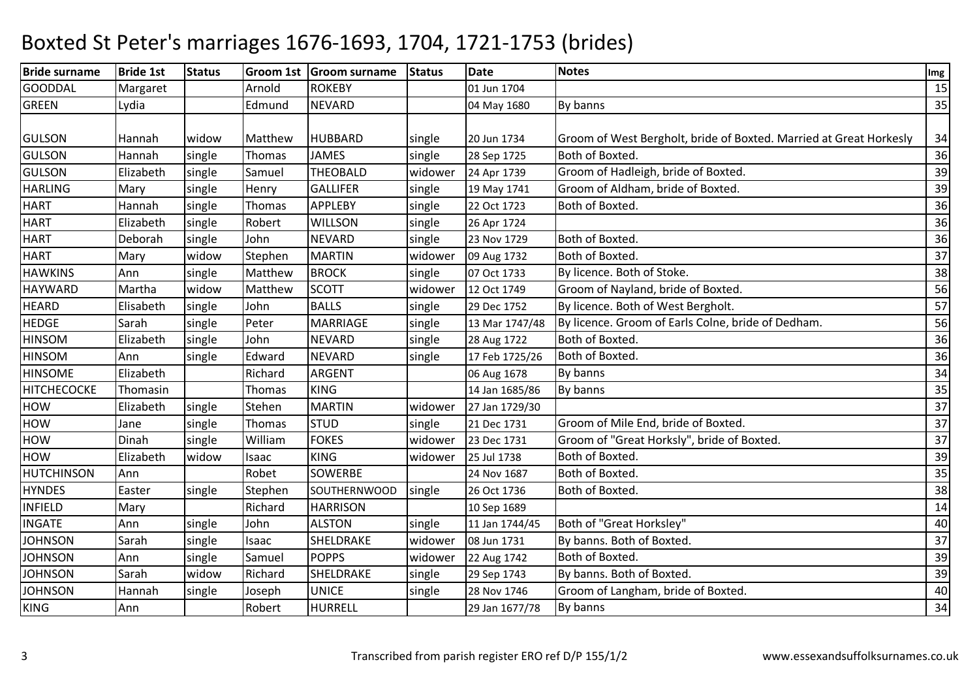| <b>Bride surname</b> | <b>Bride 1st</b> | <b>Status</b> |         | Groom 1st Groom surname | <b>Status</b> | <b>Date</b>    | <b>Notes</b>                                                       | Img |
|----------------------|------------------|---------------|---------|-------------------------|---------------|----------------|--------------------------------------------------------------------|-----|
| <b>GOODDAL</b>       | Margaret         |               | Arnold  | <b>ROKEBY</b>           |               | 01 Jun 1704    |                                                                    | 15  |
| <b>GREEN</b>         | Lydia            |               | Edmund  | <b>NEVARD</b>           |               | 04 May 1680    | By banns                                                           | 35  |
|                      |                  |               |         |                         |               |                |                                                                    |     |
| <b>GULSON</b>        | Hannah           | widow         | Matthew | <b>HUBBARD</b>          | single        | 20 Jun 1734    | Groom of West Bergholt, bride of Boxted. Married at Great Horkesly | 34  |
| <b>GULSON</b>        | Hannah           | single        | Thomas  | <b>JAMES</b>            | single        | 28 Sep 1725    | Both of Boxted.                                                    | 36  |
| <b>GULSON</b>        | Elizabeth        | single        | Samuel  | <b>THEOBALD</b>         | widower       | 24 Apr 1739    | Groom of Hadleigh, bride of Boxted.                                | 39  |
| <b>HARLING</b>       | Mary             | single        | Henry   | <b>GALLIFER</b>         | single        | 19 May 1741    | Groom of Aldham, bride of Boxted.                                  | 39  |
| <b>HART</b>          | Hannah           | single        | Thomas  | <b>APPLEBY</b>          | single        | 22 Oct 1723    | Both of Boxted.                                                    | 36  |
| <b>HART</b>          | Elizabeth        | single        | Robert  | <b>WILLSON</b>          | single        | 26 Apr 1724    |                                                                    | 36  |
| <b>HART</b>          | Deborah          | single        | John    | <b>NEVARD</b>           | single        | 23 Nov 1729    | Both of Boxted.                                                    | 36  |
| <b>HART</b>          | Mary             | widow         | Stephen | <b>MARTIN</b>           | widower       | 09 Aug 1732    | Both of Boxted.                                                    | 37  |
| <b>HAWKINS</b>       | Ann              | single        | Matthew | <b>BROCK</b>            | single        | 07 Oct 1733    | By licence. Both of Stoke.                                         | 38  |
| <b>HAYWARD</b>       | Martha           | widow         | Matthew | <b>SCOTT</b>            | widower       | 12 Oct 1749    | Groom of Nayland, bride of Boxted.                                 | 56  |
| <b>HEARD</b>         | Elisabeth        | single        | John    | <b>BALLS</b>            | single        | 29 Dec 1752    | By licence. Both of West Bergholt.                                 | 57  |
| <b>HEDGE</b>         | Sarah            | single        | Peter   | <b>MARRIAGE</b>         | single        | 13 Mar 1747/48 | By licence. Groom of Earls Colne, bride of Dedham.                 | 56  |
| <b>HINSOM</b>        | Elizabeth        | single        | John    | <b>NEVARD</b>           | single        | 28 Aug 1722    | Both of Boxted.                                                    | 36  |
| <b>HINSOM</b>        | Ann              | single        | Edward  | <b>NEVARD</b>           | single        | 17 Feb 1725/26 | Both of Boxted.                                                    | 36  |
| <b>HINSOME</b>       | Elizabeth        |               | Richard | <b>ARGENT</b>           |               | 06 Aug 1678    | By banns                                                           | 34  |
| HITCHECOCKE          | Thomasin         |               | Thomas  | <b>KING</b>             |               | 14 Jan 1685/86 | By banns                                                           | 35  |
| <b>HOW</b>           | Elizabeth        | single        | Stehen  | <b>MARTIN</b>           | widower       | 27 Jan 1729/30 |                                                                    | 37  |
| HOW                  | Jane             | single        | Thomas  | <b>STUD</b>             | single        | 21 Dec 1731    | Groom of Mile End, bride of Boxted.                                | 37  |
| <b>HOW</b>           | Dinah            | single        | William | <b>FOKES</b>            | widower       | 23 Dec 1731    | Groom of "Great Horksly", bride of Boxted.                         | 37  |
| <b>HOW</b>           | Elizabeth        | widow         | Isaac   | <b>KING</b>             | widower       | 25 Jul 1738    | Both of Boxted.                                                    | 39  |
| <b>HUTCHINSON</b>    | Ann              |               | Robet   | SOWERBE                 |               | 24 Nov 1687    | Both of Boxted.                                                    | 35  |
| <b>HYNDES</b>        | Easter           | single        | Stephen | SOUTHERNWOOD            | single        | 26 Oct 1736    | Both of Boxted.                                                    | 38  |
| <b>INFIELD</b>       | Mary             |               | Richard | <b>HARRISON</b>         |               | 10 Sep 1689    |                                                                    | 14  |
| <b>INGATE</b>        | Ann              | single        | John    | <b>ALSTON</b>           | single        | 11 Jan 1744/45 | Both of "Great Horksley"                                           | 40  |
| <b>JOHNSON</b>       | Sarah            | single        | Isaac   | SHELDRAKE               | widower       | 08 Jun 1731    | By banns. Both of Boxted.                                          | 37  |
| <b>JOHNSON</b>       | Ann              | single        | Samuel  | <b>POPPS</b>            | widower       | 22 Aug 1742    | Both of Boxted.                                                    | 39  |
| <b>JOHNSON</b>       | Sarah            | widow         | Richard | SHELDRAKE               | single        | 29 Sep 1743    | By banns. Both of Boxted.                                          | 39  |
| <b>JOHNSON</b>       | Hannah           | single        | Joseph  | <b>UNICE</b>            | single        | 28 Nov 1746    | Groom of Langham, bride of Boxted.                                 | 40  |
| <b>KING</b>          | Ann              |               | Robert  | <b>HURRELL</b>          |               | 29 Jan 1677/78 | By banns                                                           | 34  |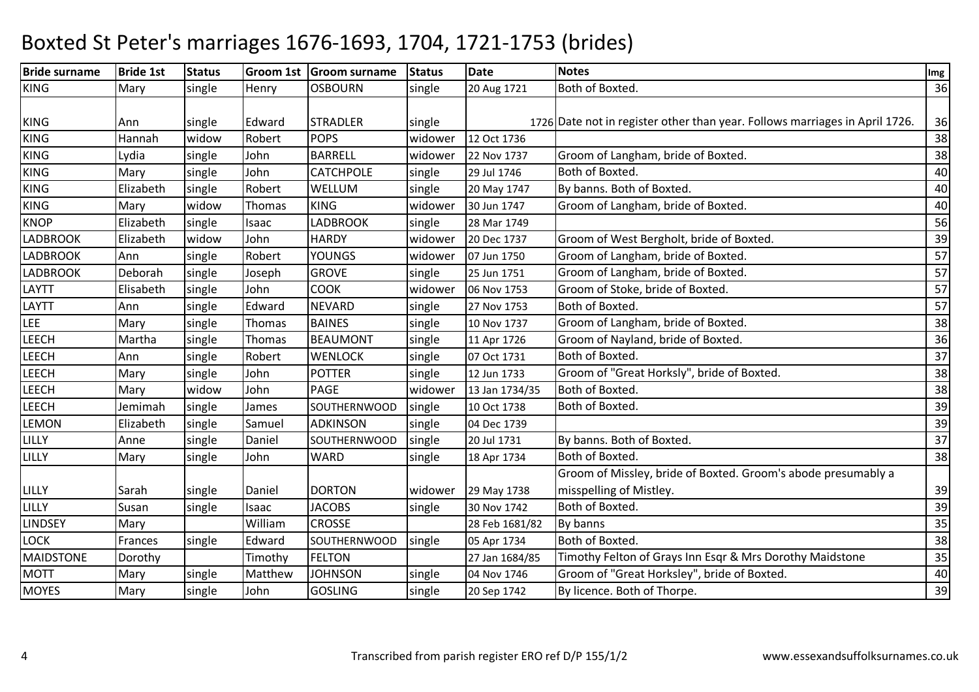| <b>Bride surname</b> | <b>Bride 1st</b> | <b>Status</b> |         | Groom 1st Groom surname | <b>Status</b> | Date           | <b>Notes</b>                                                                | Img |
|----------------------|------------------|---------------|---------|-------------------------|---------------|----------------|-----------------------------------------------------------------------------|-----|
| <b>KING</b>          | Mary             | single        | Henry   | <b>OSBOURN</b>          | single        | 20 Aug 1721    | Both of Boxted.                                                             | 36  |
|                      |                  |               |         |                         |               |                |                                                                             |     |
| <b>KING</b>          | Ann              | single        | Edward  | <b>STRADLER</b>         | single        |                | 1726 Date not in register other than year. Follows marriages in April 1726. | 36  |
| <b>KING</b>          | Hannah           | widow         | Robert  | <b>POPS</b>             | widower       | 12 Oct 1736    |                                                                             | 38  |
| <b>KING</b>          | Lydia            | single        | John    | <b>BARRELL</b>          | widower       | 22 Nov 1737    | Groom of Langham, bride of Boxted.                                          | 38  |
| <b>KING</b>          | Mary             | single        | John    | <b>CATCHPOLE</b>        | single        | 29 Jul 1746    | Both of Boxted.                                                             | 40  |
| <b>KING</b>          | Elizabeth        | single        | Robert  | WELLUM                  | single        | 20 May 1747    | By banns. Both of Boxted.                                                   | 40  |
| <b>KING</b>          | Mary             | widow         | Thomas  | <b>KING</b>             | widower       | 30 Jun 1747    | Groom of Langham, bride of Boxted.                                          | 40  |
| <b>KNOP</b>          | Elizabeth        | single        | Isaac   | <b>LADBROOK</b>         | single        | 28 Mar 1749    |                                                                             | 56  |
| <b>LADBROOK</b>      | Elizabeth        | widow         | John    | <b>HARDY</b>            | widower       | 20 Dec 1737    | Groom of West Bergholt, bride of Boxted.                                    | 39  |
| <b>LADBROOK</b>      | Ann              | single        | Robert  | <b>YOUNGS</b>           | widower       | 07 Jun 1750    | Groom of Langham, bride of Boxted.                                          | 57  |
| <b>LADBROOK</b>      | Deborah          | single        | Joseph  | <b>GROVE</b>            | single        | 25 Jun 1751    | Groom of Langham, bride of Boxted.                                          | 57  |
| <b>LAYTT</b>         | Elisabeth        | single        | John    | <b>COOK</b>             | widower       | 06 Nov 1753    | Groom of Stoke, bride of Boxted.                                            | 57  |
| LAYTT                | Ann              | single        | Edward  | <b>NEVARD</b>           | single        | 27 Nov 1753    | Both of Boxted.                                                             | 57  |
| LEE                  | Mary             | single        | Thomas  | <b>BAINES</b>           | single        | 10 Nov 1737    | Groom of Langham, bride of Boxted.                                          | 38  |
| <b>LEECH</b>         | Martha           | single        | Thomas  | <b>BEAUMONT</b>         | single        | 11 Apr 1726    | Groom of Nayland, bride of Boxted.                                          | 36  |
| <b>LEECH</b>         | Ann              | single        | Robert  | <b>WENLOCK</b>          | single        | 07 Oct 1731    | Both of Boxted.                                                             | 37  |
| <b>LEECH</b>         | Mary             | single        | John    | <b>POTTER</b>           | single        | 12 Jun 1733    | Groom of "Great Horksly", bride of Boxted.                                  | 38  |
| <b>LEECH</b>         | Mary             | widow         | John    | PAGE                    | widower       | 13 Jan 1734/35 | Both of Boxted.                                                             | 38  |
| <b>LEECH</b>         | Jemimah          | single        | James   | SOUTHERNWOOD            | single        | 10 Oct 1738    | Both of Boxted.                                                             | 39  |
| <b>LEMON</b>         | Elizabeth        | single        | Samuel  | <b>ADKINSON</b>         | single        | 04 Dec 1739    |                                                                             | 39  |
| LILLY                | Anne             | single        | Daniel  | SOUTHERNWOOD            | single        | 20 Jul 1731    | By banns. Both of Boxted.                                                   | 37  |
| LILLY                | Mary             | single        | John    | <b>WARD</b>             | single        | 18 Apr 1734    | Both of Boxted.                                                             | 38  |
|                      |                  |               |         |                         |               |                | Groom of Missley, bride of Boxted. Groom's abode presumably a               |     |
| LILLY                | Sarah            | single        | Daniel  | <b>DORTON</b>           | widower       | 29 May 1738    | misspelling of Mistley.                                                     | 39  |
| LILLY                | Susan            | single        | Isaac   | <b>JACOBS</b>           | single        | 30 Nov 1742    | Both of Boxted.                                                             | 39  |
| <b>LINDSEY</b>       | Mary             |               | William | <b>CROSSE</b>           |               | 28 Feb 1681/82 | By banns                                                                    | 35  |
| <b>LOCK</b>          | Frances          | single        | Edward  | SOUTHERNWOOD            | single        | 05 Apr 1734    | Both of Boxted.                                                             | 38  |
| <b>MAIDSTONE</b>     | Dorothy          |               | Timothy | <b>FELTON</b>           |               | 27 Jan 1684/85 | Timothy Felton of Grays Inn Esqr & Mrs Dorothy Maidstone                    | 35  |
| <b>MOTT</b>          | Mary             | single        | Matthew | <b>JOHNSON</b>          | single        | 04 Nov 1746    | Groom of "Great Horksley", bride of Boxted.                                 | 40  |
| <b>MOYES</b>         | Mary             | single        | John    | <b>GOSLING</b>          | single        | 20 Sep 1742    | By licence. Both of Thorpe.                                                 | 39  |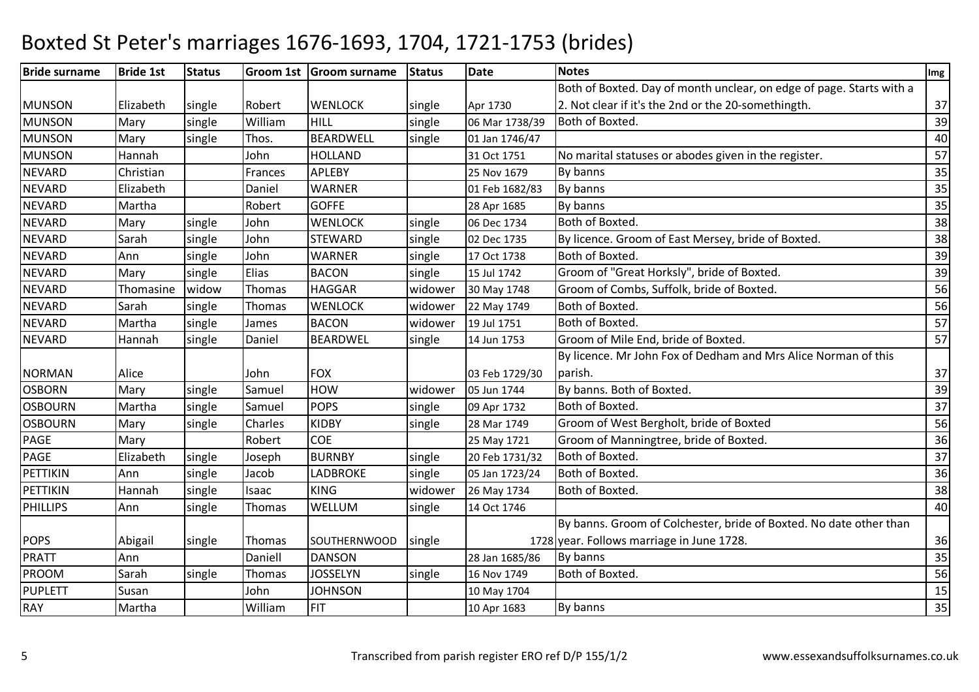| <b>Bride surname</b> | <b>Bride 1st</b> | <b>Status</b> |         | Groom 1st Groom surname | <b>Status</b> | Date           | <b>Notes</b>                                                         | Img |
|----------------------|------------------|---------------|---------|-------------------------|---------------|----------------|----------------------------------------------------------------------|-----|
|                      |                  |               |         |                         |               |                | Both of Boxted. Day of month unclear, on edge of page. Starts with a |     |
| <b>MUNSON</b>        | Elizabeth        | single        | Robert  | <b>WENLOCK</b>          | single        | Apr 1730       | 2. Not clear if it's the 2nd or the 20-somethingth.                  | 37  |
| <b>MUNSON</b>        | Mary             | single        | William | HILL                    | single        | 06 Mar 1738/39 | Both of Boxted.                                                      | 39  |
| <b>MUNSON</b>        | Mary             | single        | Thos.   | <b>BEARDWELL</b>        | single        | 01 Jan 1746/47 |                                                                      | 40  |
| <b>MUNSON</b>        | Hannah           |               | John    | <b>HOLLAND</b>          |               | 31 Oct 1751    | No marital statuses or abodes given in the register.                 | 57  |
| <b>NEVARD</b>        | Christian        |               | Frances | <b>APLEBY</b>           |               | 25 Nov 1679    | By banns                                                             | 35  |
| <b>NEVARD</b>        | Elizabeth        |               | Daniel  | <b>WARNER</b>           |               | 01 Feb 1682/83 | By banns                                                             | 35  |
| <b>NEVARD</b>        | Martha           |               | Robert  | <b>GOFFE</b>            |               | 28 Apr 1685    | By banns                                                             | 35  |
| <b>NEVARD</b>        | Mary             | single        | John    | <b>WENLOCK</b>          | single        | 06 Dec 1734    | Both of Boxted.                                                      | 38  |
| <b>NEVARD</b>        | Sarah            | single        | John    | <b>STEWARD</b>          | single        | 02 Dec 1735    | By licence. Groom of East Mersey, bride of Boxted.                   | 38  |
| <b>NEVARD</b>        | Ann              | single        | John    | <b>WARNER</b>           | single        | 17 Oct 1738    | Both of Boxted.                                                      | 39  |
| <b>NEVARD</b>        | Mary             | single        | Elias   | <b>BACON</b>            | single        | 15 Jul 1742    | Groom of "Great Horksly", bride of Boxted.                           | 39  |
| <b>NEVARD</b>        | Thomasine        | widow         | Thomas  | <b>HAGGAR</b>           | widower       | 30 May 1748    | Groom of Combs, Suffolk, bride of Boxted.                            | 56  |
| <b>NEVARD</b>        | Sarah            | single        | Thomas  | <b>WENLOCK</b>          | widower       | 22 May 1749    | Both of Boxted.                                                      | 56  |
| <b>NEVARD</b>        | Martha           | single        | James   | <b>BACON</b>            | widower       | 19 Jul 1751    | Both of Boxted.                                                      | 57  |
| <b>NEVARD</b>        | Hannah           | single        | Daniel  | <b>BEARDWEL</b>         | single        | 14 Jun 1753    | Groom of Mile End, bride of Boxted.                                  | 57  |
|                      |                  |               |         |                         |               |                | By licence. Mr John Fox of Dedham and Mrs Alice Norman of this       |     |
| <b>NORMAN</b>        | Alice            |               | John    | <b>FOX</b>              |               | 03 Feb 1729/30 | parish.                                                              | 37  |
| <b>OSBORN</b>        | Mary             | single        | Samuel  | <b>HOW</b>              | widower       | 05 Jun 1744    | By banns. Both of Boxted.                                            | 39  |
| <b>OSBOURN</b>       | Martha           | single        | Samuel  | <b>POPS</b>             | single        | 09 Apr 1732    | Both of Boxted.                                                      | 37  |
| <b>OSBOURN</b>       | Mary             | single        | Charles | <b>KIDBY</b>            | single        | 28 Mar 1749    | Groom of West Bergholt, bride of Boxted                              | 56  |
| PAGE                 | Mary             |               | Robert  | <b>COE</b>              |               | 25 May 1721    | Groom of Manningtree, bride of Boxted.                               | 36  |
| PAGE                 | Elizabeth        | single        | Joseph  | <b>BURNBY</b>           | single        | 20 Feb 1731/32 | Both of Boxted.                                                      | 37  |
| PETTIKIN             | Ann              | single        | Jacob   | <b>LADBROKE</b>         | single        | 05 Jan 1723/24 | Both of Boxted.                                                      | 36  |
| PETTIKIN             | Hannah           | single        | Isaac   | <b>KING</b>             | widower       | 26 May 1734    | Both of Boxted.                                                      | 38  |
| <b>PHILLIPS</b>      | Ann              | single        | Thomas  | WELLUM                  | single        | 14 Oct 1746    |                                                                      | 40  |
|                      |                  |               |         |                         |               |                | By banns. Groom of Colchester, bride of Boxted. No date other than   |     |
| <b>POPS</b>          | Abigail          | single        | Thomas  | SOUTHERNWOOD            | single        |                | 1728 year. Follows marriage in June 1728.                            | 36  |
| <b>PRATT</b>         | Ann              |               | Daniell | <b>DANSON</b>           |               | 28 Jan 1685/86 | By banns                                                             | 35  |
| <b>PROOM</b>         | Sarah            | single        | Thomas  | <b>JOSSELYN</b>         | single        | 16 Nov 1749    | Both of Boxted.                                                      | 56  |
| PUPLETT              | Susan            |               | John    | <b>JOHNSON</b>          |               | 10 May 1704    |                                                                      | 15  |
| <b>RAY</b>           | Martha           |               | William | FIT                     |               | 10 Apr 1683    | By banns                                                             | 35  |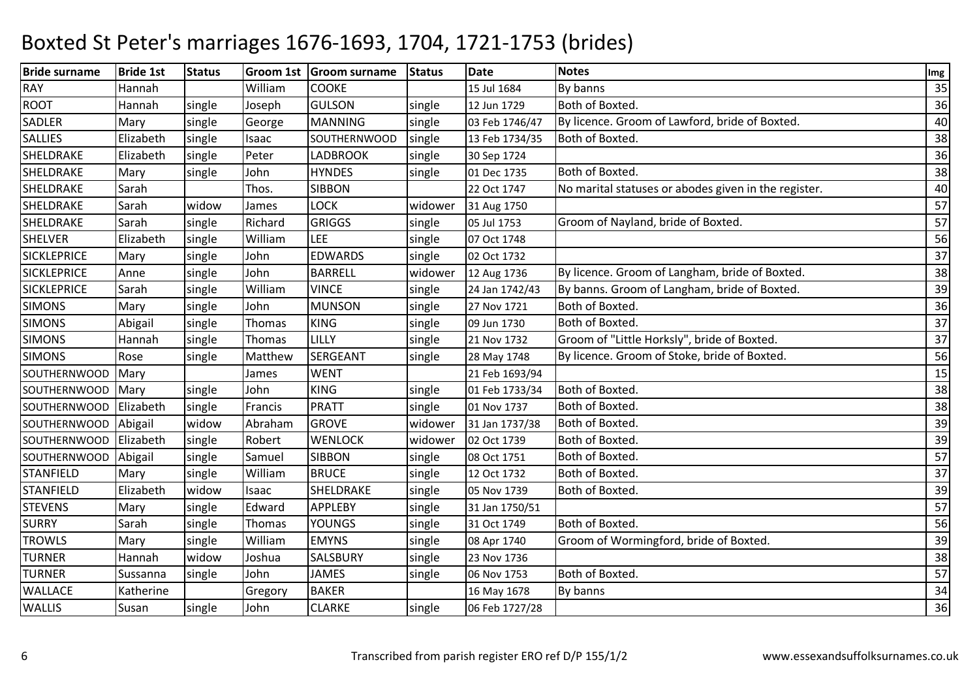| <b>Bride surname</b> | <b>Bride 1st</b> | <b>Status</b> |         | Groom 1st Groom surname | <b>Status</b> | <b>Date</b>    | <b>Notes</b>                                         | Img |
|----------------------|------------------|---------------|---------|-------------------------|---------------|----------------|------------------------------------------------------|-----|
| <b>RAY</b>           | Hannah           |               | William | <b>COOKE</b>            |               | 15 Jul 1684    | By banns                                             | 35  |
| <b>ROOT</b>          | Hannah           | single        | Joseph  | <b>GULSON</b>           | single        | 12 Jun 1729    | Both of Boxted.                                      | 36  |
| SADLER               | Mary             | single        | George  | <b>MANNING</b>          | single        | 03 Feb 1746/47 | By licence. Groom of Lawford, bride of Boxted.       | 40  |
| <b>SALLIES</b>       | Elizabeth        | single        | Isaac   | SOUTHERNWOOD            | single        | 13 Feb 1734/35 | Both of Boxted.                                      | 38  |
| SHELDRAKE            | Elizabeth        | single        | Peter   | <b>LADBROOK</b>         | single        | 30 Sep 1724    |                                                      | 36  |
| SHELDRAKE            | Mary             | single        | John    | <b>HYNDES</b>           | single        | 01 Dec 1735    | Both of Boxted.                                      | 38  |
| SHELDRAKE            | Sarah            |               | Thos.   | <b>SIBBON</b>           |               | 22 Oct 1747    | No marital statuses or abodes given in the register. | 40  |
| SHELDRAKE            | Sarah            | widow         | James   | LOCK                    | widower       | 31 Aug 1750    |                                                      | 57  |
| SHELDRAKE            | Sarah            | single        | Richard | <b>GRIGGS</b>           | single        | 05 Jul 1753    | Groom of Nayland, bride of Boxted.                   | 57  |
| <b>SHELVER</b>       | Elizabeth        | single        | William | LEE                     | single        | 07 Oct 1748    |                                                      | 56  |
| <b>SICKLEPRICE</b>   | Mary             | single        | John    | <b>EDWARDS</b>          | single        | 02 Oct 1732    |                                                      | 37  |
| <b>SICKLEPRICE</b>   | Anne             | single        | John    | <b>BARRELL</b>          | widower       | 12 Aug 1736    | By licence. Groom of Langham, bride of Boxted.       | 38  |
| <b>SICKLEPRICE</b>   | Sarah            | single        | William | <b>VINCE</b>            | single        | 24 Jan 1742/43 | By banns. Groom of Langham, bride of Boxted.         | 39  |
| <b>SIMONS</b>        | Mary             | single        | John    | <b>MUNSON</b>           | single        | 27 Nov 1721    | Both of Boxted.                                      | 36  |
| <b>SIMONS</b>        | Abigail          | single        | Thomas  | <b>KING</b>             | single        | 09 Jun 1730    | Both of Boxted.                                      | 37  |
| <b>SIMONS</b>        | Hannah           | single        | Thomas  | LILLY                   | single        | 21 Nov 1732    | Groom of "Little Horksly", bride of Boxted.          | 37  |
| <b>SIMONS</b>        | Rose             | single        | Matthew | SERGEANT                | single        | 28 May 1748    | By licence. Groom of Stoke, bride of Boxted.         | 56  |
| <b>SOUTHERNWOOD</b>  | Mary             |               | James   | <b>WENT</b>             |               | 21 Feb 1693/94 |                                                      | 15  |
| SOUTHERNWOOD         | Mary             | single        | John    | <b>KING</b>             | single        | 01 Feb 1733/34 | Both of Boxted.                                      | 38  |
| <b>SOUTHERNWOOD</b>  | Elizabeth        | single        | Francis | <b>PRATT</b>            | single        | 01 Nov 1737    | Both of Boxted.                                      | 38  |
| SOUTHERNWOOD         | Abigail          | widow         | Abraham | <b>GROVE</b>            | widower       | 31 Jan 1737/38 | Both of Boxted.                                      | 39  |
| <b>SOUTHERNWOOD</b>  | Elizabeth        | single        | Robert  | <b>WENLOCK</b>          | widower       | 02 Oct 1739    | Both of Boxted.                                      | 39  |
| <b>SOUTHERNWOOD</b>  | Abigail          | single        | Samuel  | <b>SIBBON</b>           | single        | 08 Oct 1751    | Both of Boxted.                                      | 57  |
| <b>STANFIELD</b>     | Mary             | single        | William | <b>BRUCE</b>            | single        | 12 Oct 1732    | Both of Boxted.                                      | 37  |
| <b>STANFIELD</b>     | Elizabeth        | widow         | Isaac   | SHELDRAKE               | single        | 05 Nov 1739    | Both of Boxted.                                      | 39  |
| <b>STEVENS</b>       | Mary             | single        | Edward  | <b>APPLEBY</b>          | single        | 31 Jan 1750/51 |                                                      | 57  |
| <b>SURRY</b>         | Sarah            | single        | Thomas  | <b>YOUNGS</b>           | single        | 31 Oct 1749    | Both of Boxted.                                      | 56  |
| <b>TROWLS</b>        | Mary             | single        | William | <b>EMYNS</b>            | single        | 08 Apr 1740    | Groom of Wormingford, bride of Boxted.               | 39  |
| <b>TURNER</b>        | Hannah           | widow         | Joshua  | SALSBURY                | single        | 23 Nov 1736    |                                                      | 38  |
| <b>TURNER</b>        | Sussanna         | single        | John    | <b>JAMES</b>            | single        | 06 Nov 1753    | Both of Boxted.                                      | 57  |
| <b>WALLACE</b>       | Katherine        |               | Gregory | <b>BAKER</b>            |               | 16 May 1678    | By banns                                             | 34  |
| <b>WALLIS</b>        | Susan            | single        | John    | <b>CLARKE</b>           | single        | 06 Feb 1727/28 |                                                      | 36  |
|                      |                  |               |         |                         |               |                |                                                      |     |